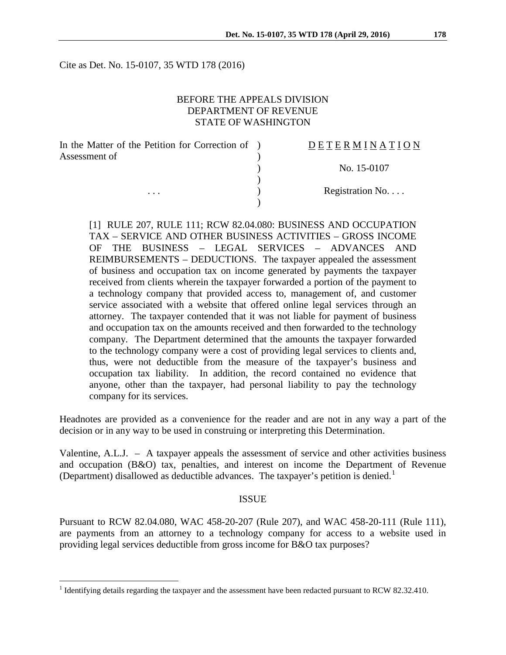Cite as Det. No. 15-0107, 35 WTD 178 (2016)

## BEFORE THE APPEALS DIVISION DEPARTMENT OF REVENUE STATE OF WASHINGTON

| In the Matter of the Petition for Correction of ) | DETERMINATION   |
|---------------------------------------------------|-----------------|
| Assessment of                                     |                 |
|                                                   | No. 15-0107     |
|                                                   |                 |
| $\cdots$                                          | Registration No |
|                                                   |                 |

[1] RULE 207, RULE 111; RCW 82.04.080: BUSINESS AND OCCUPATION TAX – SERVICE AND OTHER BUSINESS ACTIVITIES – GROSS INCOME OF THE BUSINESS – LEGAL SERVICES – ADVANCES AND REIMBURSEMENTS – DEDUCTIONS. The taxpayer appealed the assessment of business and occupation tax on income generated by payments the taxpayer received from clients wherein the taxpayer forwarded a portion of the payment to a technology company that provided access to, management of, and customer service associated with a website that offered online legal services through an attorney. The taxpayer contended that it was not liable for payment of business and occupation tax on the amounts received and then forwarded to the technology company. The Department determined that the amounts the taxpayer forwarded to the technology company were a cost of providing legal services to clients and, thus, were not deductible from the measure of the taxpayer's business and occupation tax liability. In addition, the record contained no evidence that anyone, other than the taxpayer, had personal liability to pay the technology company for its services.

Headnotes are provided as a convenience for the reader and are not in any way a part of the decision or in any way to be used in construing or interpreting this Determination.

Valentine, A.L.J. – A taxpayer appeals the assessment of service and other activities business and occupation (B&O) tax, penalties, and interest on income the Department of Revenue (Department) disallowed as deductible advances. The taxpayer's petition is denied.<sup>[1](#page-0-0)</sup>

#### ISSUE

Pursuant to RCW 82.04.080, WAC 458-20-207 (Rule 207), and WAC 458-20-111 (Rule 111), are payments from an attorney to a technology company for access to a website used in providing legal services deductible from gross income for B&O tax purposes?

<span id="page-0-0"></span><sup>&</sup>lt;sup>1</sup> Identifying details regarding the taxpayer and the assessment have been redacted pursuant to RCW 82.32.410.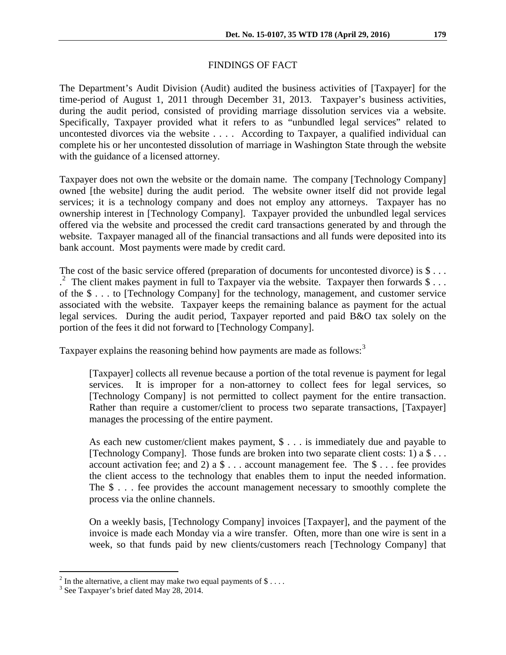## FINDINGS OF FACT

The Department's Audit Division (Audit) audited the business activities of [Taxpayer] for the time-period of August 1, 2011 through December 31, 2013. Taxpayer's business activities, during the audit period, consisted of providing marriage dissolution services via a website. Specifically, Taxpayer provided what it refers to as "unbundled legal services" related to uncontested divorces via the website . . . . According to Taxpayer, a qualified individual can complete his or her uncontested dissolution of marriage in Washington State through the website with the guidance of a licensed attorney.

Taxpayer does not own the website or the domain name. The company [Technology Company] owned [the website] during the audit period. The website owner itself did not provide legal services; it is a technology company and does not employ any attorneys. Taxpayer has no ownership interest in [Technology Company]. Taxpayer provided the unbundled legal services offered via the website and processed the credit card transactions generated by and through the website. Taxpayer managed all of the financial transactions and all funds were deposited into its bank account. Most payments were made by credit card.

The cost of the basic service offered (preparation of documents for uncontested divorce) is \$...  $^{2}$  $^{2}$  $^{2}$  The client makes payment in full to Taxpayer via the website. Taxpayer then forwards \$... of the \$ . . . to [Technology Company] for the technology, management, and customer service associated with the website. Taxpayer keeps the remaining balance as payment for the actual legal services. During the audit period, Taxpayer reported and paid B&O tax solely on the portion of the fees it did not forward to [Technology Company].

Taxpayer explains the reasoning behind how payments are made as follows:<sup>[3](#page-1-1)</sup>

[Taxpayer] collects all revenue because a portion of the total revenue is payment for legal services. It is improper for a non-attorney to collect fees for legal services, so [Technology Company] is not permitted to collect payment for the entire transaction. Rather than require a customer/client to process two separate transactions, [Taxpayer] manages the processing of the entire payment.

As each new customer/client makes payment, \$ . . . is immediately due and payable to [Technology Company]. Those funds are broken into two separate client costs: 1) a \$ . . . account activation fee; and 2) a  $\frac{1}{2}$ ... account management fee. The  $\frac{1}{2}$ ... fee provides the client access to the technology that enables them to input the needed information. The \$ . . . fee provides the account management necessary to smoothly complete the process via the online channels.

On a weekly basis, [Technology Company] invoices [Taxpayer], and the payment of the invoice is made each Monday via a wire transfer. Often, more than one wire is sent in a week, so that funds paid by new clients/customers reach [Technology Company] that

<span id="page-1-0"></span><sup>&</sup>lt;sup>2</sup> In the alternative, a client may make two equal payments of \$ . . . .  $\frac{3}{3}$  See Taxpayer's brief dated May 28, 2014.

<span id="page-1-1"></span>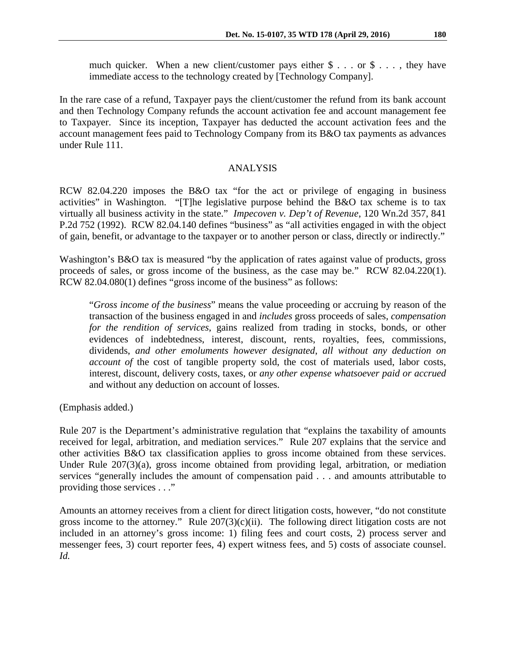much quicker. When a new client/customer pays either  $\frac{1}{2}$ ... or  $\frac{1}{2}$ ..., they have immediate access to the technology created by [Technology Company].

In the rare case of a refund, Taxpayer pays the client/customer the refund from its bank account and then Technology Company refunds the account activation fee and account management fee to Taxpayer. Since its inception, Taxpayer has deducted the account activation fees and the account management fees paid to Technology Company from its B&O tax payments as advances under Rule 111.

### ANALYSIS

RCW 82.04.220 imposes the B&O tax "for the act or privilege of engaging in business activities" in Washington. "[T]he legislative purpose behind the B&O tax scheme is to tax virtually all business activity in the state." *Impecoven v. Dep't of Revenue*, 120 Wn.2d 357, 841 P.2d 752 (1992). RCW 82.04.140 defines "business" as "all activities engaged in with the object of gain, benefit, or advantage to the taxpayer or to another person or class, directly or indirectly."

Washington's B&O tax is measured "by the application of rates against value of products, gross proceeds of sales, or gross income of the business, as the case may be." RCW 82.04.220(1). RCW 82.04.080(1) defines "gross income of the business" as follows:

"*Gross income of the business*" means the value proceeding or accruing by reason of the transaction of the business engaged in and *includes* gross proceeds of sales, *compensation for the rendition of services*, gains realized from trading in stocks, bonds, or other evidences of indebtedness, interest, discount, rents, royalties, fees, commissions, dividends, *and other emoluments however designated*, *all without any deduction on account of the cost of tangible property sold, the cost of materials used, labor costs,* interest, discount, delivery costs, taxes, or *any other expense whatsoever paid or accrued* and without any deduction on account of losses.

(Emphasis added.)

Rule 207 is the Department's administrative regulation that "explains the taxability of amounts received for legal, arbitration, and mediation services." Rule 207 explains that the service and other activities B&O tax classification applies to gross income obtained from these services. Under Rule 207(3)(a), gross income obtained from providing legal, arbitration, or mediation services "generally includes the amount of compensation paid . . . and amounts attributable to providing those services . . ."

Amounts an attorney receives from a client for direct litigation costs, however, "do not constitute gross income to the attorney." Rule  $207(3)(c)(ii)$ . The following direct litigation costs are not included in an attorney's gross income: 1) filing fees and court costs, 2) process server and messenger fees, 3) court reporter fees, 4) expert witness fees, and 5) costs of associate counsel. *Id.*